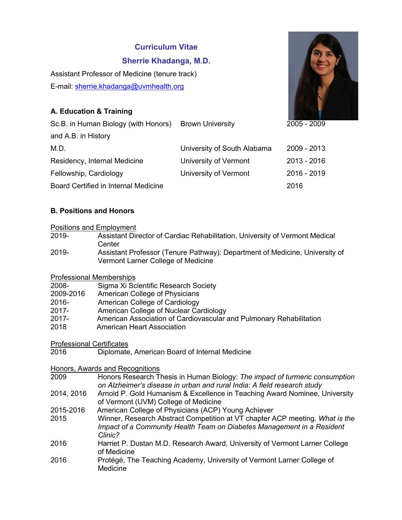# **Curriculum Vitae**

# **Sherrie Khadanga, M.D.**

Assistant Professor of Medicine (tenure track) E-mail: sherrie.khadanga@uvmhealth.org

# **A. Education & Training**



# **B. Positions and Honors**

### Positions and Employment

- 2019- Assistant Director of Cardiac Rehabilitation, University of Vermont Medical **Center**
- 2019- Assistant Professor (Tenure Pathway): Department of Medicine, University of Vermont Larner College of Medicine

# Professional Memberships

| 2008-     | Sigma Xi Scientific Research Society                                |
|-----------|---------------------------------------------------------------------|
| 2009-2016 | American College of Physicians                                      |
| 2016-     | American College of Cardiology                                      |
| $2017 -$  | American College of Nuclear Cardiology                              |
| 2017-     | American Association of Cardiovascular and Pulmonary Rehabilitation |
| 2018      | American Heart Association                                          |

# Professional Certificates

2016 Diplomate, American Board of Internal Medicine

#### Honors, Awards and Recognitions

- 2009 Honors Research Thesis in Human Biology: *The impact of turmeric consumption on Alzheimer's disease in urban and rural India: A field research study*
- 2014, 2016 Arnold P. Gold Humanism & Excellence in Teaching Award Nominee, University of Vermont (UVM) College of Medicine
- 2015-2016 American College of Physicians (ACP) Young Achiever
- 2015 Winner, Research Abstract Competition at VT chapter ACP meeting. *What is the Impact of a Community Health Team on Diabetes Management in a Resident Clinic?*
- 2016 Harriet P. Dustan M.D. Research Award, University of Vermont Larner College of Medicine
- 2016 Protégé, The Teaching Academy, University of Vermont Larner College of Medicine

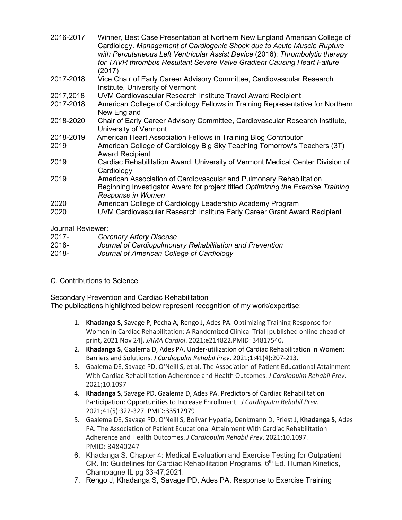| 2016-2017 | Winner, Best Case Presentation at Northern New England American College of<br>Cardiology. Management of Cardiogenic Shock due to Acute Muscle Rupture<br>with Percutaneous Left Ventricular Assist Device (2016); Thrombolytic therapy<br>for TAVR thrombus Resultant Severe Valve Gradient Causing Heart Failure<br>(2017) |
|-----------|-----------------------------------------------------------------------------------------------------------------------------------------------------------------------------------------------------------------------------------------------------------------------------------------------------------------------------|
| 2017-2018 | Vice Chair of Early Career Advisory Committee, Cardiovascular Research<br>Institute, University of Vermont                                                                                                                                                                                                                  |
| 2017,2018 | UVM Cardiovascular Research Institute Travel Award Recipient                                                                                                                                                                                                                                                                |
| 2017-2018 | American College of Cardiology Fellows in Training Representative for Northern<br>New England                                                                                                                                                                                                                               |
| 2018-2020 | Chair of Early Career Advisory Committee, Cardiovascular Research Institute,<br>University of Vermont                                                                                                                                                                                                                       |
| 2018-2019 | American Heart Association Fellows in Training Blog Contributor                                                                                                                                                                                                                                                             |
| 2019      | American College of Cardiology Big Sky Teaching Tomorrow's Teachers (3T)<br><b>Award Recipient</b>                                                                                                                                                                                                                          |
| 2019      | Cardiac Rehabilitation Award, University of Vermont Medical Center Division of<br>Cardiology                                                                                                                                                                                                                                |
| 2019      | American Association of Cardiovascular and Pulmonary Rehabilitation<br>Beginning Investigator Award for project titled Optimizing the Exercise Training<br>Response in Women                                                                                                                                                |
| 2020      | American College of Cardiology Leadership Academy Program                                                                                                                                                                                                                                                                   |
| 2020      | UVM Cardiovascular Research Institute Early Career Grant Award Recipient                                                                                                                                                                                                                                                    |

# Journal Reviewer:

| $2017 -$ | Coronary Artery Disease                                  |
|----------|----------------------------------------------------------|
| 2018-    | Journal of Cardiopulmonary Rehabilitation and Prevention |
| 2018-    | Journal of American College of Cardiology                |

C. Contributions to Science

# Secondary Prevention and Cardiac Rehabilitation

The publications highlighted below represent recognition of my work/expertise:

- 1. **Khadanga S,** Savage P, Pecha A, Rengo J, Ades PA. Optimizing Training Response for Women in Cardiac Rehabilitation: A Randomized Clinical Trial [published online ahead of print, 2021 Nov 24]. *JAMA Cardiol*. 2021;e214822.PMID: 34817540.
- 2. **Khadanga S**, Gaalema D, Ades PA. Under-utilization of Cardiac Rehabilitation in Women: Barriers and Solutions. *J Cardiopulm Rehabil Prev*. 2021;1:41(4):207-213.
- 3. Gaalema DE, Savage PD, O'Neill S, et al. The Association of Patient Educational Attainment With Cardiac Rehabilitation Adherence and Health Outcomes. *J Cardiopulm Rehabil Prev*. 2021;10.1097
- 4. **Khadanga S**, Savage PD, Gaalema D, Ades PA. Predictors of Cardiac Rehabilitation Participation: Opportunities to Increase Enrollment. *J Cardiopulm Rehabil Prev*. 2021;41(5):322-327. PMID:33512979
- 5. Gaalema DE, Savage PD, O'Neill S, Bolivar Hypatia, Denkmann D, Priest J, **Khadanga S**, Ades PA. The Association of Patient Educational Attainment With Cardiac Rehabilitation Adherence and Health Outcomes. *J Cardiopulm Rehabil Prev*. 2021;10.1097. PMID: 34840247
- 6. Khadanga S. Chapter 4: Medical Evaluation and Exercise Testing for Outpatient CR. In: Guidelines for Cardiac Rehabilitation Programs.  $6<sup>th</sup>$  Ed. Human Kinetics, Champagne IL pg 33-47,2021.
- 7. Rengo J, Khadanga S, Savage PD, Ades PA. Response to Exercise Training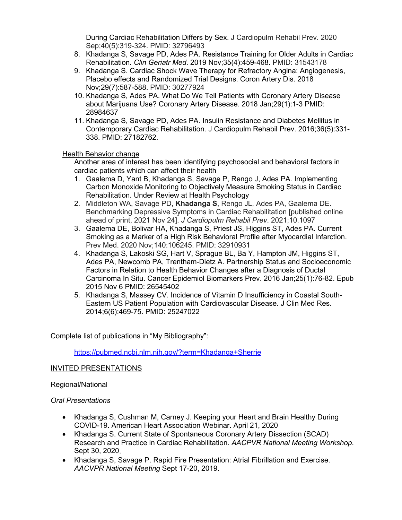During Cardiac Rehabilitation Differs by Sex. J Cardiopulm Rehabil Prev. 2020 Sep;40(5):319-324. PMID: 32796493

- 8. Khadanga S, Savage PD, Ades PA. Resistance Training for Older Adults in Cardiac Rehabilitation*. Clin Geriatr Med*. 2019 Nov;35(4):459-468. PMID: 31543178
- 9. Khadanga S. Cardiac Shock Wave Therapy for Refractory Angina: Angiogenesis, Placebo effects and Randomized Trial Designs. Coron Artery Dis. 2018 Nov;29(7):587-588. PMID: 30277924
- 10. Khadanga S, Ades PA. What Do We Tell Patients with Coronary Artery Disease about Marijuana Use? Coronary Artery Disease. 2018 Jan;29(1):1-3 PMID: 28984637
- 11. Khadanga S, Savage PD, Ades PA. Insulin Resistance and Diabetes Mellitus in Contemporary Cardiac Rehabilitation. J Cardiopulm Rehabil Prev. 2016;36(5):331- 338. PMID: 27182762.

# Health Behavior change

Another area of interest has been identifying psychosocial and behavioral factors in cardiac patients which can affect their health

- 1. Gaalema D, Yant B, Khadanga S, Savage P, Rengo J, Ades PA. Implementing Carbon Monoxide Monitoring to Objectively Measure Smoking Status in Cardiac Rehabilitation. Under Review at Health Psychology
- 2. Middleton WA, Savage PD, **Khadanga S**, Rengo JL, Ades PA, Gaalema DE. Benchmarking Depressive Symptoms in Cardiac Rehabilitation [published online ahead of print, 2021 Nov 24]. *J Cardiopulm Rehabil Prev*. 2021;10.1097
- 3. Gaalema DE, Bolivar HA, Khadanga S, Priest JS, Higgins ST, Ades PA. Current Smoking as a Marker of a High Risk Behavioral Profile after Myocardial Infarction. Prev Med. 2020 Nov;140:106245. PMID: 32910931
- 4. Khadanga S, Lakoski SG, Hart V, Sprague BL, Ba Y, Hampton JM, Higgins ST, Ades PA, Newcomb PA, Trentham-Dietz A. Partnership Status and Socioeconomic Factors in Relation to Health Behavior Changes after a Diagnosis of Ductal Carcinoma In Situ. Cancer Epidemiol Biomarkers Prev. 2016 Jan;25(1):76-82. Epub 2015 Nov 6 PMID: 26545402
- 5. Khadanga S, Massey CV. Incidence of Vitamin D Insufficiency in Coastal South-Eastern US Patient Population with Cardiovascular Disease. J Clin Med Res. 2014;6(6):469-75. PMID: 25247022

Complete list of publications in "My Bibliography":

https://pubmed.ncbi.nlm.nih.gov/?term=Khadanga+Sherrie

#### INVITED PRESENTATIONS

Regional/National

#### *Oral Presentations*

- Khadanga S, Cushman M, Carney J. Keeping your Heart and Brain Healthy During COVID-19. American Heart Association Webinar. April 21, 2020
- Khadanga S. Current State of Spontaneous Coronary Artery Dissection (SCAD) Research and Practice in Cardiac Rehabilitation. *AACPVR National Meeting Workshop*. Sept 30, 2020.
- Khadanga S, Savage P. Rapid Fire Presentation: Atrial Fibrillation and Exercise. *AACVPR National Meeting* Sept 17-20, 2019.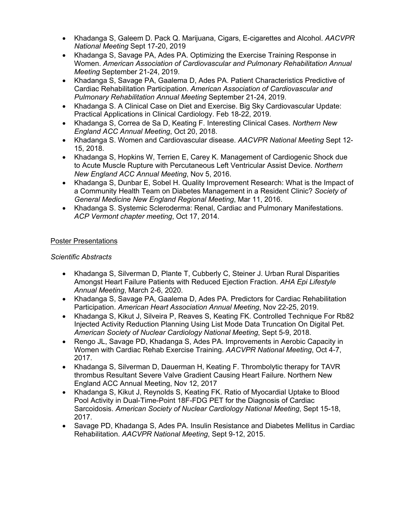- Khadanga S, Galeem D. Pack Q. Marijuana, Cigars, E-cigarettes and Alcohol. *AACVPR National Meeting* Sept 17-20, 2019
- Khadanga S, Savage PA, Ades PA. Optimizing the Exercise Training Response in Women. *American Association of Cardiovascular and Pulmonary Rehabilitation Annual Meeting* September 21-24, 2019.
- Khadanga S, Savage PA, Gaalema D, Ades PA. Patient Characteristics Predictive of Cardiac Rehabilitation Participation. *American Association of Cardiovascular and Pulmonary Rehabilitation Annual Meeting* September 21-24, 2019.
- Khadanga S. A Clinical Case on Diet and Exercise. Big Sky Cardiovascular Update: Practical Applications in Clinical Cardiology. Feb 18-22, 2019.
- Khadanga S, Correa de Sa D, Keating F. Interesting Clinical Cases. *Northern New England ACC Annual Meeting*, Oct 20, 2018.
- Khadanga S. Women and Cardiovascular disease. *AACVPR National Meeting* Sept 12- 15, 2018.
- Khadanga S, Hopkins W, Terrien E, Carey K. Management of Cardiogenic Shock due to Acute Muscle Rupture with Percutaneous Left Ventricular Assist Device. *Northern New England ACC Annual Meeting*, Nov 5, 2016.
- Khadanga S, Dunbar E, Sobel H. Quality Improvement Research: What is the Impact of a Community Health Team on Diabetes Management in a Resident Clinic? *Society of General Medicine New England Regional Meeting*, Mar 11, 2016.
- Khadanga S. Systemic Scleroderma: Renal, Cardiac and Pulmonary Manifestations. *ACP Vermont chapter meeting*, Oct 17, 2014.

# Poster Presentations

### *Scientific Abstracts*

- Khadanga S, Silverman D, Plante T, Cubberly C, Steiner J. Urban Rural Disparities Amongst Heart Failure Patients with Reduced Ejection Fraction. *AHA Epi Lifestyle Annual Meeting*, March 2-6, 2020.
- Khadanga S, Savage PA, Gaalema D, Ades PA. Predictors for Cardiac Rehabilitation Participation. *American Heart Association Annual Meeting*, Nov 22-25, 2019.
- Khadanga S, Kikut J, Silveira P, Reaves S, Keating FK. Controlled Technique For Rb82 Injected Activity Reduction Planning Using List Mode Data Truncation On Digital Pet. *American Society of Nuclear Cardiology National Meeting*, Sept 5-9, 2018.
- Rengo JL, Savage PD, Khadanga S, Ades PA. Improvements in Aerobic Capacity in Women with Cardiac Rehab Exercise Training. *AACVPR National Meeting*, Oct 4-7, 2017.
- Khadanga S, Silverman D, Dauerman H, Keating F. Thrombolytic therapy for TAVR thrombus Resultant Severe Valve Gradient Causing Heart Failure. Northern New England ACC Annual Meeting, Nov 12, 2017
- Khadanga S, Kikut J, Reynolds S, Keating FK. Ratio of Myocardial Uptake to Blood Pool Activity in Dual-Time-Point 18F-FDG PET for the Diagnosis of Cardiac Sarcoidosis. *American Society of Nuclear Cardiology National Meeting*, Sept 15-18, 2017.
- Savage PD, Khadanga S, Ades PA. Insulin Resistance and Diabetes Mellitus in Cardiac Rehabilitation. *AACVPR National Meeting*, Sept 9-12, 2015.